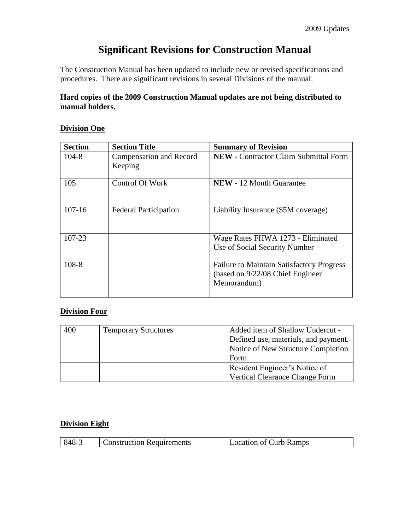# **Significant Revisions for Construction Manual**

The Construction Manual has been updated to include new or revised specifications and procedures. There are significant revisions in several Divisions of the manual.

#### **Hard copies of the 2009 Construction Manual updates are not being distributed to manual holders.**

#### **Division One**

| <b>Section</b> | <b>Section Title</b>                      | <b>Summary of Revision</b>                                                                           |
|----------------|-------------------------------------------|------------------------------------------------------------------------------------------------------|
| $104 - 8$      | <b>Compensation and Record</b><br>Keeping | <b>NEW</b> - Contractor Claim Submittal Form                                                         |
| 105            | <b>Control Of Work</b>                    | <b>NEW</b> - 12 Month Guarantee                                                                      |
| $107 - 16$     | <b>Federal Participation</b>              | Liability Insurance (\$5M coverage)                                                                  |
| 107-23         |                                           | Wage Rates FHWA 1273 - Eliminated<br>Use of Social Security Number                                   |
| $108 - 8$      |                                           | <b>Failure to Maintain Satisfactory Progress</b><br>(based on 9/22/08 Chief Engineer)<br>Memorandum) |

#### **Division Four**

| 400 | <b>Temporary Structures</b> | Added item of Shallow Undercut -      |
|-----|-----------------------------|---------------------------------------|
|     |                             | Defined use, materials, and payment.  |
|     |                             | Notice of New Structure Completion    |
|     |                             | Form                                  |
|     |                             | Resident Engineer's Notice of         |
|     |                             | <b>Vertical Clearance Change Form</b> |

#### **Division Eight**

|  |  | l 848-3 | <b>Construction Requirements</b> |  | <b>Location of Curb Ramps</b> |  |
|--|--|---------|----------------------------------|--|-------------------------------|--|
|--|--|---------|----------------------------------|--|-------------------------------|--|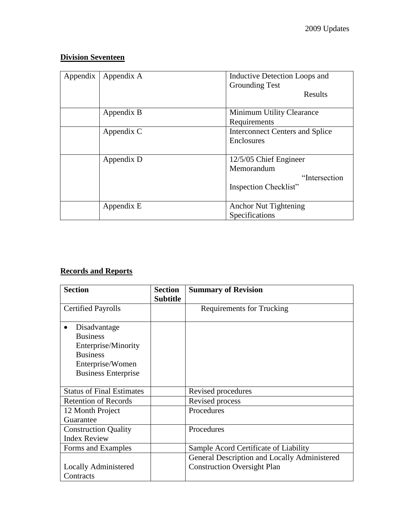### **Division Seventeen**

| Appendix | Appendix A | Inductive Detection Loops and<br><b>Grounding Test</b><br>Results               |
|----------|------------|---------------------------------------------------------------------------------|
|          | Appendix B | Minimum Utility Clearance<br>Requirements                                       |
|          | Appendix C | <b>Interconnect Centers and Splice</b><br>Enclosures                            |
|          | Appendix D | 12/5/05 Chief Engineer<br>Memorandum<br>"Intersection"<br>Inspection Checklist" |
|          | Appendix E | <b>Anchor Nut Tightening</b><br>Specifications                                  |

## **Records and Reports**

| <b>Section</b>                   | <b>Section</b>  | <b>Summary of Revision</b>                   |
|----------------------------------|-----------------|----------------------------------------------|
|                                  | <b>Subtitle</b> |                                              |
| <b>Certified Payrolls</b>        |                 | <b>Requirements for Trucking</b>             |
|                                  |                 |                                              |
| Disadvantage                     |                 |                                              |
| <b>Business</b>                  |                 |                                              |
| Enterprise/Minority              |                 |                                              |
| <b>Business</b>                  |                 |                                              |
| Enterprise/Women                 |                 |                                              |
| <b>Business Enterprise</b>       |                 |                                              |
|                                  |                 |                                              |
| <b>Status of Final Estimates</b> |                 | Revised procedures                           |
| <b>Retention of Records</b>      |                 | Revised process                              |
| 12 Month Project                 |                 | Procedures                                   |
| Guarantee                        |                 |                                              |
| <b>Construction Quality</b>      |                 | Procedures                                   |
| <b>Index Review</b>              |                 |                                              |
| Forms and Examples               |                 | Sample Acord Certificate of Liability        |
|                                  |                 | General Description and Locally Administered |
| Locally Administered             |                 | <b>Construction Oversight Plan</b>           |
| Contracts                        |                 |                                              |